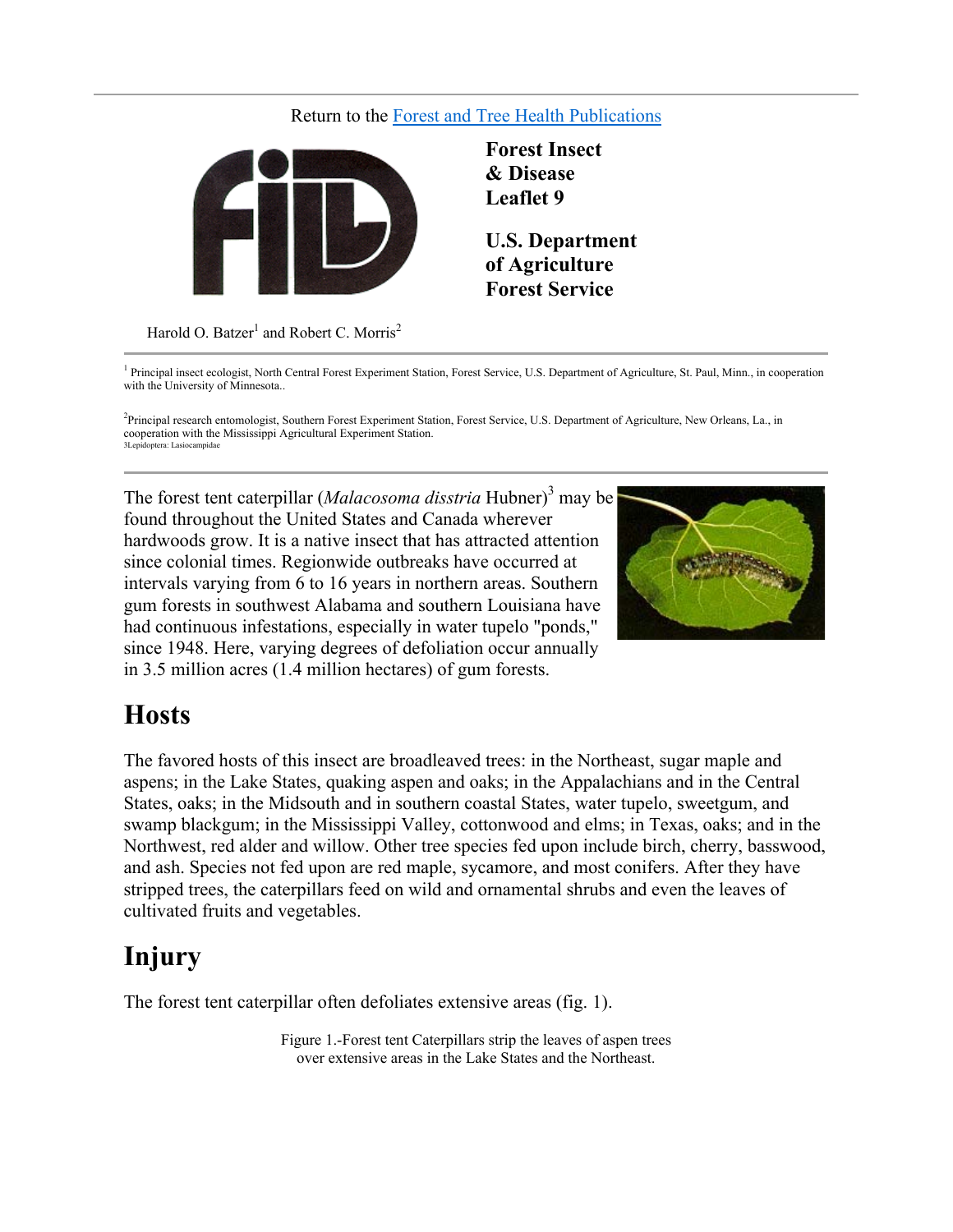#### Return to the Forest and Tree Health Publications



**Forest Insect & Disease Leaflet 9**

**U.S. Department of Agriculture Forest Service**

Harold O. Batzer $^1$  and Robert C. Morris<sup>2</sup>

<sup>1</sup> Principal insect ecologist, North Central Forest Experiment Station, Forest Service, U.S. Department of Agriculture, St. Paul, Minn., in cooperation with the University of Minnesota..

2 Principal research entomologist, Southern Forest Experiment Station, Forest Service, U.S. Department of Agriculture, New Orleans, La., in cooperation with the Mississippi Agricultural Experiment Station. 3Lepidoptera: Lasiocampidae

The forest tent caterpillar (*Malacosoma disstria* Hubner)<sup>3</sup> may be found throughout the United States and Canada wherever hardwoods grow. It is a native insect that has attracted attention since colonial times. Regionwide outbreaks have occurred at intervals varying from 6 to 16 years in northern areas. Southern gum forests in southwest Alabama and southern Louisiana have had continuous infestations, especially in water tupelo "ponds," since 1948. Here, varying degrees of defoliation occur annually in 3.5 million acres (1.4 million hectares) of gum forests.



### **Hosts**

The favored hosts of this insect are broadleaved trees: in the Northeast, sugar maple and aspens; in the Lake States, quaking aspen and oaks; in the Appalachians and in the Central States, oaks; in the Midsouth and in southern coastal States, water tupelo, sweetgum, and swamp blackgum; in the Mississippi Valley, cottonwood and elms; in Texas, oaks; and in the Northwest, red alder and willow. Other tree species fed upon include birch, cherry, basswood, and ash. Species not fed upon are red maple, sycamore, and most conifers. After they have stripped trees, the caterpillars feed on wild and ornamental shrubs and even the leaves of cultivated fruits and vegetables.

## **Injury**

The forest tent caterpillar often defoliates extensive areas (fig. 1).

Figure 1.-Forest tent Caterpillars strip the leaves of aspen trees over extensive areas in the Lake States and the Northeast.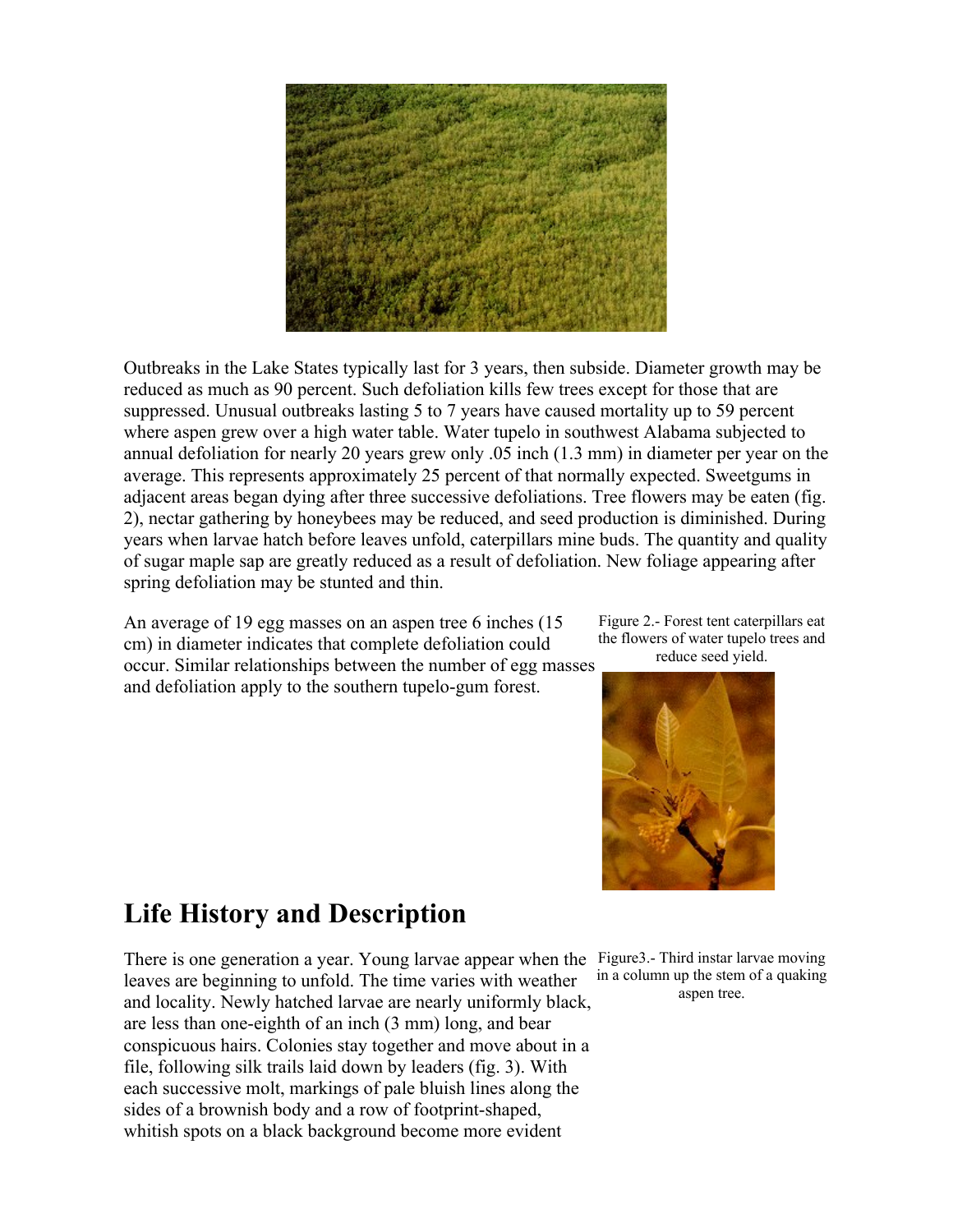

Outbreaks in the Lake States typically last for 3 years, then subside. Diameter growth may be reduced as much as 90 percent. Such defoliation kills few trees except for those that are suppressed. Unusual outbreaks lasting 5 to 7 years have caused mortality up to 59 percent where aspen grew over a high water table. Water tupelo in southwest Alabama subjected to annual defoliation for nearly 20 years grew only .05 inch (1.3 mm) in diameter per year on the average. This represents approximately 25 percent of that normally expected. Sweetgums in adjacent areas began dying after three successive defoliations. Tree flowers may be eaten (fig. 2), nectar gathering by honeybees may be reduced, and seed production is diminished. During years when larvae hatch before leaves unfold, caterpillars mine buds. The quantity and quality of sugar maple sap are greatly reduced as a result of defoliation. New foliage appearing after spring defoliation may be stunted and thin.

An average of 19 egg masses on an aspen tree 6 inches (15 cm) in diameter indicates that complete defoliation could occur. Similar relationships between the number of egg masses and defoliation apply to the southern tupelo-gum forest.

Figure 2.- Forest tent caterpillars eat the flowers of water tupelo trees and reduce seed yield.



### **Life History and Description**

There is one generation a year. Young larvae appear when the Figure3.- Third instar larvae moving leaves are beginning to unfold. The time varies with weather and locality. Newly hatched larvae are nearly uniformly black, are less than one-eighth of an inch (3 mm) long, and bear conspicuous hairs. Colonies stay together and move about in a file, following silk trails laid down by leaders (fig. 3). With each successive molt, markings of pale bluish lines along the sides of a brownish body and a row of footprint-shaped, whitish spots on a black background become more evident

in a column up the stem of a quaking aspen tree.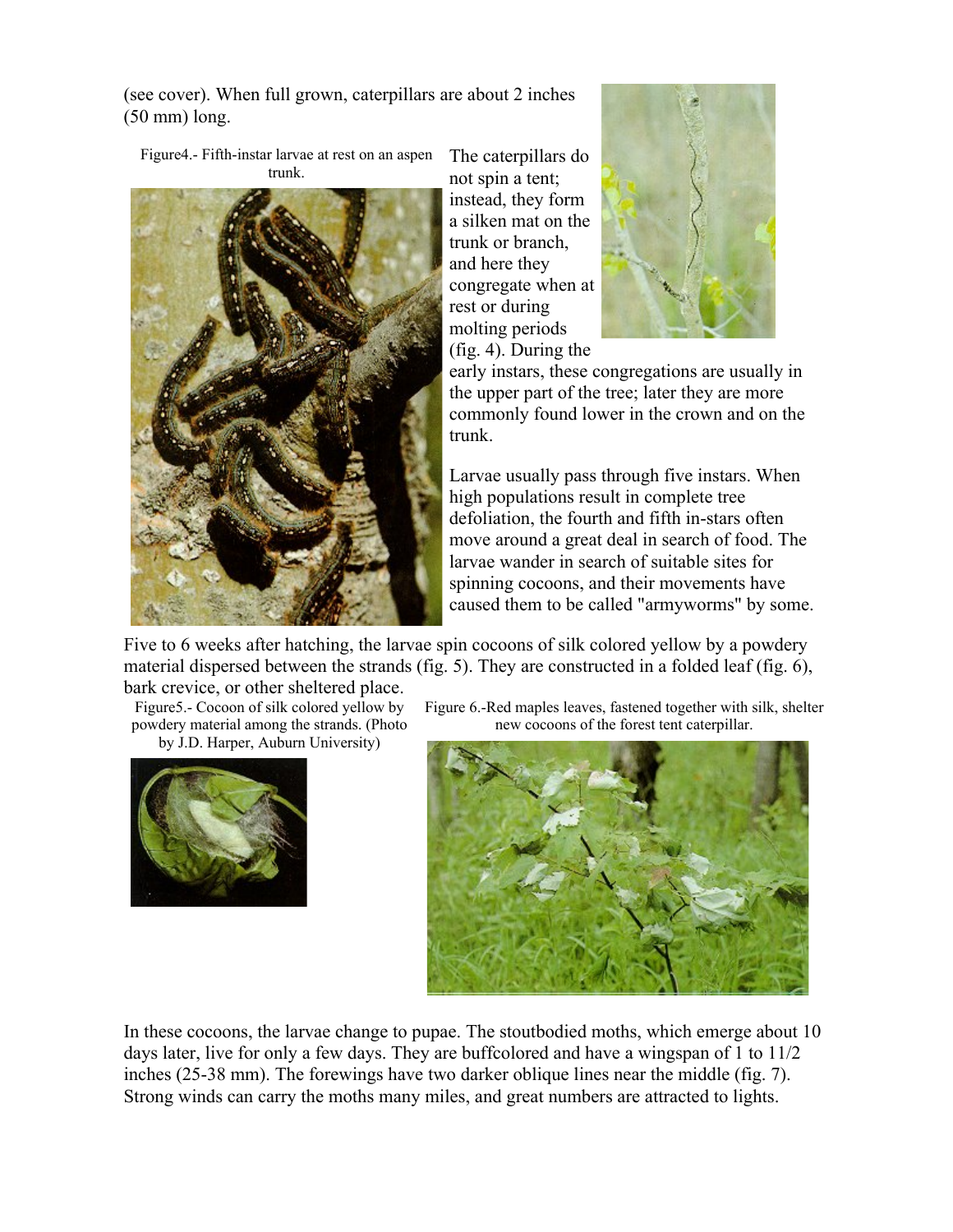(see cover). When full grown, caterpillars are about 2 inches (50 mm) long.

Figure4.- Fifth-instar larvae at rest on an aspen trunk.



The caterpillars do not spin a tent; instead, they form a silken mat on the trunk or branch, and here they congregate when at rest or during molting periods (fig. 4). During the



early instars, these congregations are usually in the upper part of the tree; later they are more commonly found lower in the crown and on the trunk.

Larvae usually pass through five instars. When high populations result in complete tree defoliation, the fourth and fifth in-stars often move around a great deal in search of food. The larvae wander in search of suitable sites for spinning cocoons, and their movements have caused them to be called "armyworms" by some.

Five to 6 weeks after hatching, the larvae spin cocoons of silk colored yellow by a powdery material dispersed between the strands (fig. 5). They are constructed in a folded leaf (fig. 6), bark crevice, or other sheltered place.

Figure5.- Cocoon of silk colored yellow by

powdery material among the strands. (Photo by J.D. Harper, Auburn University)



Figure 6.-Red maples leaves, fastened together with silk, shelter new cocoons of the forest tent caterpillar.



In these cocoons, the larvae change to pupae. The stoutbodied moths, which emerge about 10 days later, live for only a few days. They are buffcolored and have a wingspan of 1 to 11/2 inches (25-38 mm). The forewings have two darker oblique lines near the middle (fig. 7). Strong winds can carry the moths many miles, and great numbers are attracted to lights.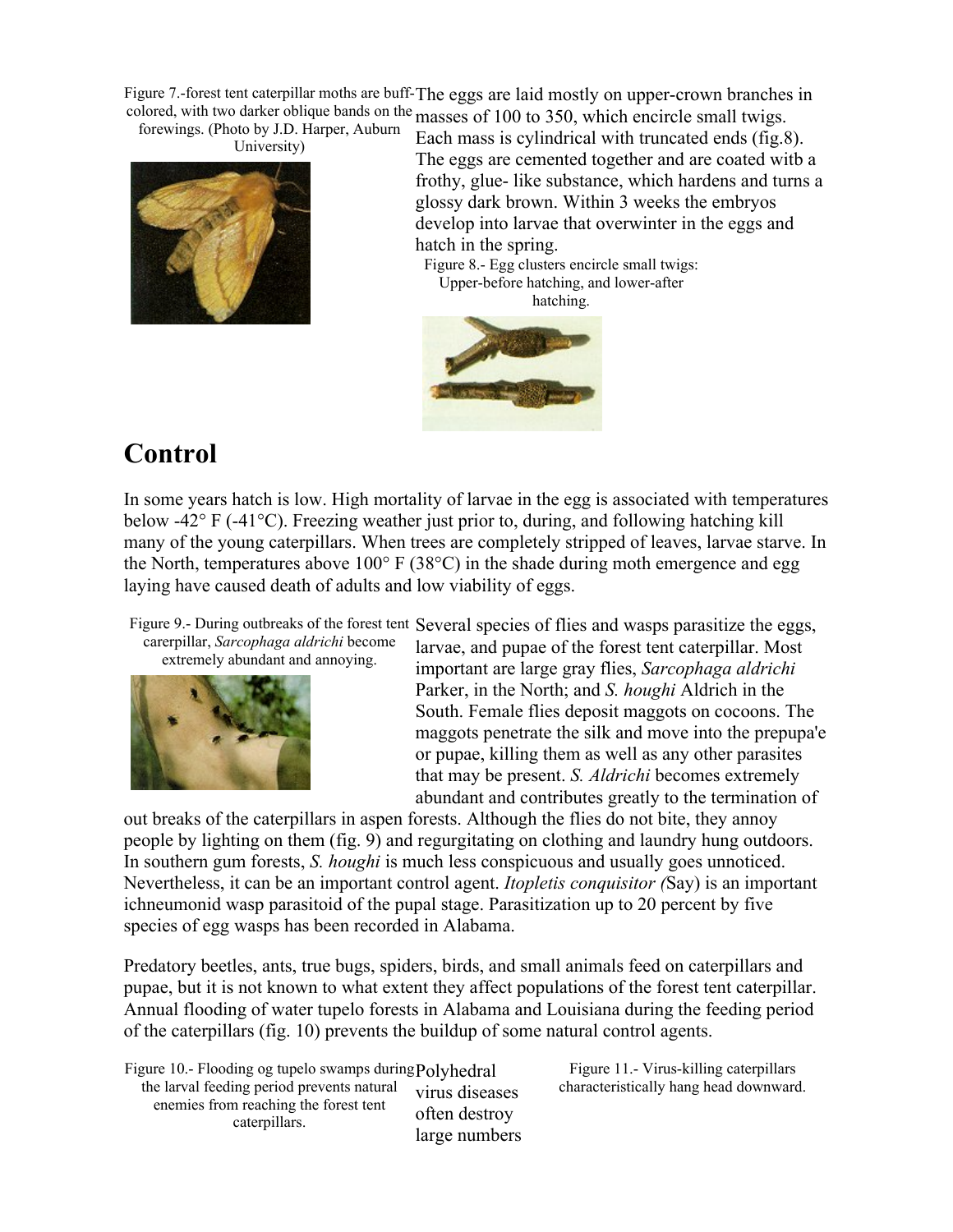Figure 7.-forest tent caterpillar moths are buff-The eggs are laid mostly on upper-crown branches in colored, with two darker oblique bands on the masses of 100 to 350, which encircle small twigs.

forewings. (Photo by J.D. Harper, Auburn University)



Each mass is cylindrical with truncated ends (fig.8). The eggs are cemented together and are coated witb a frothy, glue- like substance, which hardens and turns a glossy dark brown. Within 3 weeks the embryos develop into larvae that overwinter in the eggs and hatch in the spring.

Figure 8.- Egg clusters encircle small twigs: Upper-before hatching, and lower-after



# **Control**

In some years hatch is low. High mortality of larvae in the egg is associated with temperatures below -42° F (-41°C). Freezing weather just prior to, during, and following hatching kill many of the young caterpillars. When trees are completely stripped of leaves, larvae starve. In the North, temperatures above  $100^{\circ}$  F (38 $^{\circ}$ C) in the shade during moth emergence and egg laying have caused death of adults and low viability of eggs.

Figure 9.- During outbreaks of the forest tent Several species of flies and wasps parasitize the eggs,

carerpillar, *Sarcophaga aldrichi* become extremely abundant and annoying.



larvae, and pupae of the forest tent caterpillar. Most important are large gray flies, *Sarcophaga aldrichi*  Parker, in the North; and *S. houghi* Aldrich in the South. Female flies deposit maggots on cocoons. The maggots penetrate the silk and move into the prepupa'e or pupae, killing them as well as any other parasites that may be present. *S. Aldrichi* becomes extremely abundant and contributes greatly to the termination of

out breaks of the caterpillars in aspen forests. Although the flies do not bite, they annoy people by lighting on them (fig. 9) and regurgitating on clothing and laundry hung outdoors. In southern gum forests, *S. houghi* is much less conspicuous and usually goes unnoticed. Nevertheless, it can be an important control agent. *Itopletis conquisitor (*Say) is an important ichneumonid wasp parasitoid of the pupal stage. Parasitization up to 20 percent by five species of egg wasps has been recorded in Alabama.

Predatory beetles, ants, true bugs, spiders, birds, and small animals feed on caterpillars and pupae, but it is not known to what extent they affect populations of the forest tent caterpillar. Annual flooding of water tupelo forests in Alabama and Louisiana during the feeding period of the caterpillars (fig. 10) prevents the buildup of some natural control agents.

Figure 10.- Flooding og tupelo swamps during Polyhedral the larval feeding period prevents natural enemies from reaching the forest tent caterpillars. virus diseases often destroy large numbers

Figure 11.- Virus-killing caterpillars characteristically hang head downward.